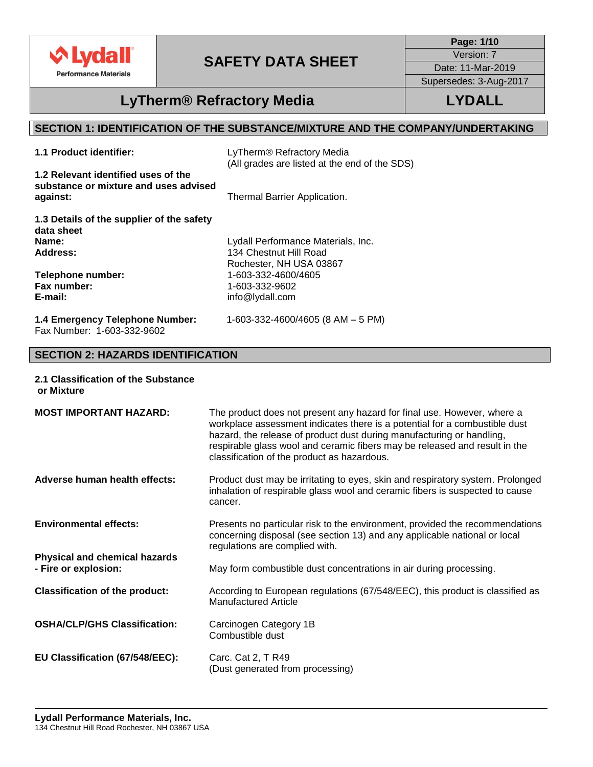

**Page: 1/10** Version: 7 Date: 11-Mar-2019

Supersedes: 3-Aug-2017

### **LyTherm® Refractory Media LYDALL**

### **SECTION 1: IDENTIFICATION OF THE SUBSTANCE/MIXTURE AND THE COMPANY/UNDERTAKING**

**1.1 Product identifier:** LyTherm® Refractory Media (All grades are listed at the end of the SDS)

**1.2 Relevant identified uses of the substance or mixture and uses advised against:** Thermal Barrier Application.

**1.3 Details of the supplier of the safety data sheet Name: Address:**

**Telephone number: Fax number: E-mail:**

Lydall Performance Materials, Inc. 134 Chestnut Hill Road Rochester, NH USA 03867 1-603-332-4600/4605 1-603-332-9602 info@lydall.com

**1.4 Emergency Telephone Number:** 1-603-332-4600/4605 (8 AM – 5 PM) Fax Number: 1-603-332-9602

### **SECTION 2: HAZARDS IDENTIFICATION**

**2.1 Classification of the Substance or Mixture**

| <b>MOST IMPORTANT HAZARD:</b>                                | The product does not present any hazard for final use. However, where a<br>workplace assessment indicates there is a potential for a combustible dust<br>hazard, the release of product dust during manufacturing or handling,<br>respirable glass wool and ceramic fibers may be released and result in the<br>classification of the product as hazardous. |
|--------------------------------------------------------------|-------------------------------------------------------------------------------------------------------------------------------------------------------------------------------------------------------------------------------------------------------------------------------------------------------------------------------------------------------------|
| Adverse human health effects:                                | Product dust may be irritating to eyes, skin and respiratory system. Prolonged<br>inhalation of respirable glass wool and ceramic fibers is suspected to cause<br>cancer.                                                                                                                                                                                   |
| <b>Environmental effects:</b>                                | Presents no particular risk to the environment, provided the recommendations<br>concerning disposal (see section 13) and any applicable national or local<br>regulations are complied with.                                                                                                                                                                 |
| <b>Physical and chemical hazards</b><br>- Fire or explosion: | May form combustible dust concentrations in air during processing.                                                                                                                                                                                                                                                                                          |
| <b>Classification of the product:</b>                        | According to European regulations (67/548/EEC), this product is classified as<br><b>Manufactured Article</b>                                                                                                                                                                                                                                                |
| <b>OSHA/CLP/GHS Classification:</b>                          | Carcinogen Category 1B<br>Combustible dust                                                                                                                                                                                                                                                                                                                  |
| EU Classification (67/548/EEC):                              | Carc. Cat 2, T R49<br>(Dust generated from processing)                                                                                                                                                                                                                                                                                                      |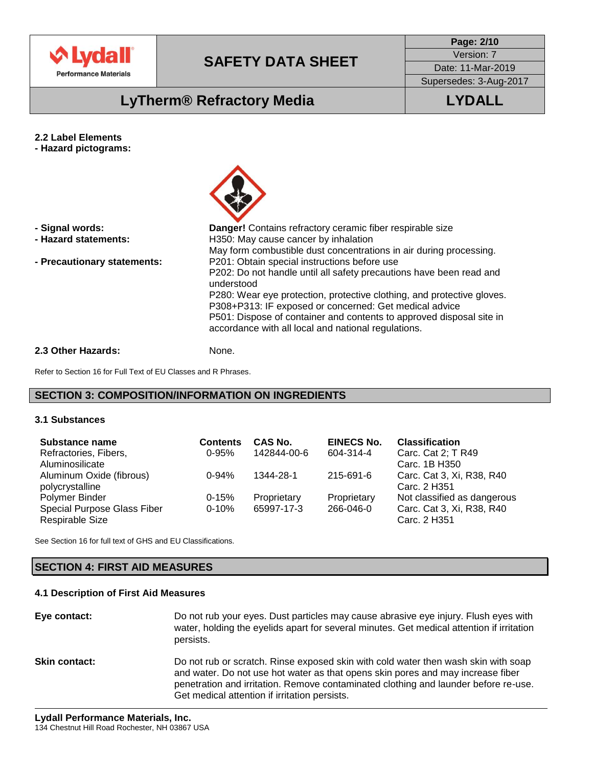

**Page: 2/10** Version: 7

Date: 11-Mar-2019 Supersedes: 3-Aug-2017

# **LyTherm® Refractory Media LYDALL**

- **2.2 Label Elements**
- **- Hazard pictograms:**



| - Signal words:<br>- Hazard statements: | <b>Danger!</b> Contains refractory ceramic fiber respirable size<br>H350: May cause cancer by inhalation<br>May form combustible dust concentrations in air during processing.                                                                                                                                                                                                                       |
|-----------------------------------------|------------------------------------------------------------------------------------------------------------------------------------------------------------------------------------------------------------------------------------------------------------------------------------------------------------------------------------------------------------------------------------------------------|
| - Precautionary statements:             | P201: Obtain special instructions before use<br>P202: Do not handle until all safety precautions have been read and<br>understood<br>P280: Wear eye protection, protective clothing, and protective gloves.<br>P308+P313: IF exposed or concerned: Get medical advice<br>P501: Dispose of container and contents to approved disposal site in<br>accordance with all local and national regulations. |
| 2.3 Other Hazards:                      | None.                                                                                                                                                                                                                                                                                                                                                                                                |

Refer to Section 16 for Full Text of EU Classes and R Phrases.

### **SECTION 3: COMPOSITION/INFORMATION ON INGREDIENTS**

#### **3.1 Substances**

| <b>Substance name</b>       | <b>Contents</b> | CAS No.     | <b>EINECS No.</b> | <b>Classification</b>       |
|-----------------------------|-----------------|-------------|-------------------|-----------------------------|
| Refractories, Fibers,       | $0 - 95%$       | 142844-00-6 | 604-314-4         | Carc. Cat 2; T R49          |
| Aluminosilicate             |                 |             |                   | Carc. 1B H350               |
| Aluminum Oxide (fibrous)    | $0 - 94%$       | 1344-28-1   | 215-691-6         | Carc. Cat 3, Xi, R38, R40   |
| polycrystalline             |                 |             |                   | Carc. 2 H351                |
| Polymer Binder              | $0 - 15%$       | Proprietary | Proprietary       | Not classified as dangerous |
| Special Purpose Glass Fiber | $0 - 10%$       | 65997-17-3  | 266-046-0         | Carc. Cat 3, Xi, R38, R40   |
| Respirable Size             |                 |             |                   | Carc. 2 H351                |

See Section 16 for full text of GHS and EU Classifications.

#### **SECTION 4: FIRST AID MEASURES**

#### **4.1 Description of First Aid Measures**

**Eye contact:** Do not rub your eyes. Dust particles may cause abrasive eye injury. Flush eyes with water, holding the eyelids apart for several minutes. Get medical attention if irritation persists. **Skin contact:** Do not rub or scratch. Rinse exposed skin with cold water then wash skin with soap and water. Do not use hot water as that opens skin pores and may increase fiber penetration and irritation. Remove contaminated clothing and launder before re-use. Get medical attention if irritation persists.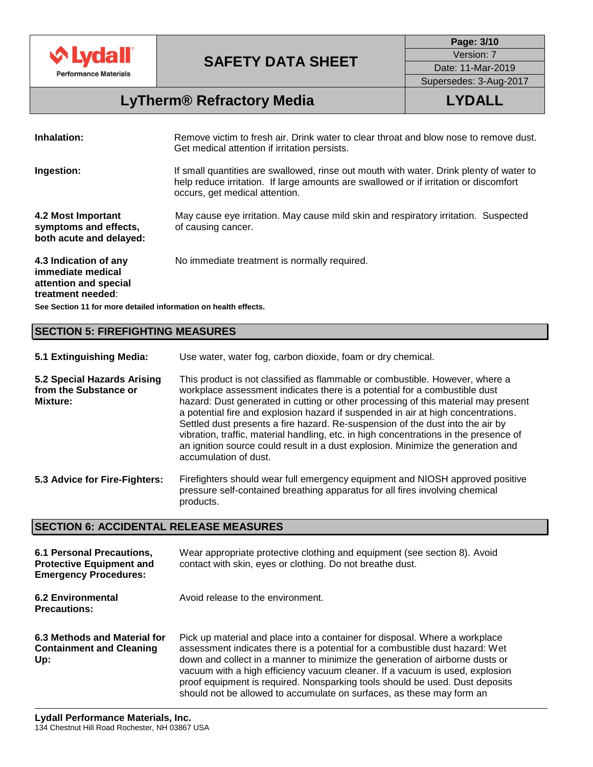

**Page: 3/10** Version: 7

Date: 11-Mar-2019 Supersedes: 3-Aug-2017

# **LyTherm® Refractory Media LYDALL**

| Inhalation:                                                                              | Remove victim to fresh air. Drink water to clear throat and blow nose to remove dust.<br>Get medical attention if irritation persists.                                                                             |
|------------------------------------------------------------------------------------------|--------------------------------------------------------------------------------------------------------------------------------------------------------------------------------------------------------------------|
| Ingestion:                                                                               | If small quantities are swallowed, rinse out mouth with water. Drink plenty of water to<br>help reduce irritation. If large amounts are swallowed or if irritation or discomfort<br>occurs, get medical attention. |
| 4.2 Most Important<br>symptoms and effects,<br>both acute and delayed:                   | May cause eye irritation. May cause mild skin and respiratory irritation. Suspected<br>of causing cancer.                                                                                                          |
| 4.3 Indication of any<br>immediate medical<br>attention and special<br>treatment needed: | No immediate treatment is normally required.                                                                                                                                                                       |

**See Section 11 for more detailed information on health effects.**

### **SECTION 5: FIREFIGHTING MEASURES**

| 5.1 Extinguishing Media: | Use water, water fog, carbon dioxide, foam or dry chemical. |
|--------------------------|-------------------------------------------------------------|
|--------------------------|-------------------------------------------------------------|

**5.2 Special Hazards Arising from the Substance or Mixture:** This product is not classified as flammable or combustible. However, where a workplace assessment indicates there is a potential for a combustible dust hazard: Dust generated in cutting or other processing of this material may present a potential fire and explosion hazard if suspended in air at high concentrations. Settled dust presents a fire hazard. Re-suspension of the dust into the air by vibration, traffic, material handling, etc. in high concentrations in the presence of an ignition source could result in a dust explosion. Minimize the generation and accumulation of dust.

**5.3 Advice for Fire-Fighters:** Firefighters should wear full emergency equipment and NIOSH approved positive pressure self-contained breathing apparatus for all fires involving chemical products.

#### **SECTION 6: ACCIDENTAL RELEASE MEASURES**

| 6.1 Personal Precautions,<br><b>Protective Equipment and</b><br><b>Emergency Procedures:</b> | Wear appropriate protective clothing and equipment (see section 8). Avoid<br>contact with skin, eyes or clothing. Do not breathe dust.                                                                                                                                                                                                                                                                                                                                               |
|----------------------------------------------------------------------------------------------|--------------------------------------------------------------------------------------------------------------------------------------------------------------------------------------------------------------------------------------------------------------------------------------------------------------------------------------------------------------------------------------------------------------------------------------------------------------------------------------|
| <b>6.2 Environmental</b><br><b>Precautions:</b>                                              | Avoid release to the environment.                                                                                                                                                                                                                                                                                                                                                                                                                                                    |
| 6.3 Methods and Material for<br><b>Containment and Cleaning</b><br>Up:                       | Pick up material and place into a container for disposal. Where a workplace<br>assessment indicates there is a potential for a combustible dust hazard: Wet<br>down and collect in a manner to minimize the generation of airborne dusts or<br>vacuum with a high efficiency vacuum cleaner. If a vacuum is used, explosion<br>proof equipment is required. Nonsparking tools should be used. Dust deposits<br>should not be allowed to accumulate on surfaces, as these may form an |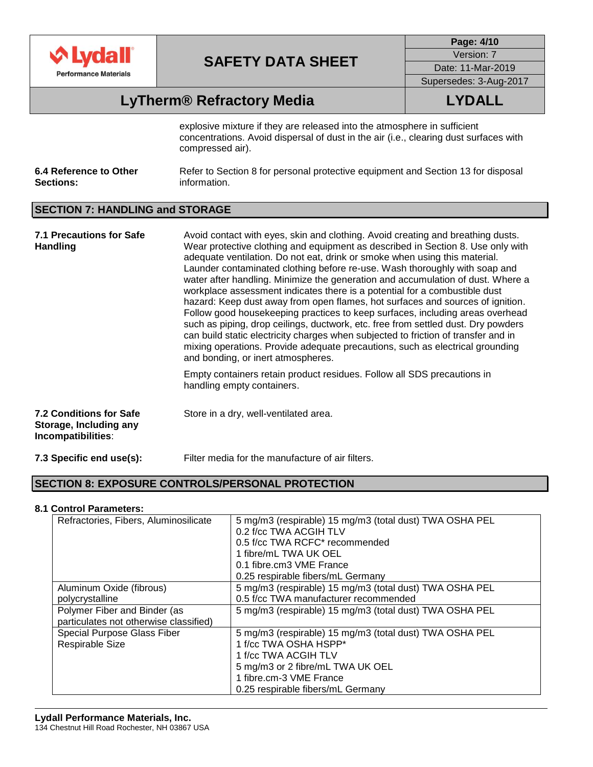

**Page: 4/10** Version: 7 Date: 11-Mar-2019 Supersedes: 3-Aug-2017

# **LyTherm® Refractory Media LYDALL**

explosive mixture if they are released into the atmosphere in sufficient concentrations. Avoid dispersal of dust in the air (i.e., clearing dust surfaces with compressed air).

| 6.4 Reference to Other | Refer to Section 8 for personal protective equipment and Section 13 for disposal |
|------------------------|----------------------------------------------------------------------------------|
| <b>Sections:</b>       | information.                                                                     |

### **SECTION 7: HANDLING and STORAGE**

| 7.1 Precautions for Safe<br><b>Handling</b>                                    | Avoid contact with eyes, skin and clothing. Avoid creating and breathing dusts.<br>Wear protective clothing and equipment as described in Section 8. Use only with<br>adequate ventilation. Do not eat, drink or smoke when using this material.<br>Launder contaminated clothing before re-use. Wash thoroughly with soap and<br>water after handling. Minimize the generation and accumulation of dust. Where a<br>workplace assessment indicates there is a potential for a combustible dust<br>hazard: Keep dust away from open flames, hot surfaces and sources of ignition.<br>Follow good housekeeping practices to keep surfaces, including areas overhead<br>such as piping, drop ceilings, ductwork, etc. free from settled dust. Dry powders<br>can build static electricity charges when subjected to friction of transfer and in<br>mixing operations. Provide adequate precautions, such as electrical grounding<br>and bonding, or inert atmospheres. |
|--------------------------------------------------------------------------------|----------------------------------------------------------------------------------------------------------------------------------------------------------------------------------------------------------------------------------------------------------------------------------------------------------------------------------------------------------------------------------------------------------------------------------------------------------------------------------------------------------------------------------------------------------------------------------------------------------------------------------------------------------------------------------------------------------------------------------------------------------------------------------------------------------------------------------------------------------------------------------------------------------------------------------------------------------------------|
|                                                                                | Empty containers retain product residues. Follow all SDS precautions in<br>handling empty containers.                                                                                                                                                                                                                                                                                                                                                                                                                                                                                                                                                                                                                                                                                                                                                                                                                                                                |
| <b>7.2 Conditions for Safe</b><br>Storage, Including any<br>Incompatibilities: | Store in a dry, well-ventilated area.                                                                                                                                                                                                                                                                                                                                                                                                                                                                                                                                                                                                                                                                                                                                                                                                                                                                                                                                |
| 7.3 Specific end use(s):                                                       | Filter media for the manufacture of air filters.                                                                                                                                                                                                                                                                                                                                                                                                                                                                                                                                                                                                                                                                                                                                                                                                                                                                                                                     |

### **SECTION 8: EXPOSURE CONTROLS/PERSONAL PROTECTION**

#### **8.1 Control Parameters:**

| Refractories, Fibers, Aluminosilicate  | 5 mg/m3 (respirable) 15 mg/m3 (total dust) TWA OSHA PEL |
|----------------------------------------|---------------------------------------------------------|
|                                        | 0.2 f/cc TWA ACGIH TLV                                  |
|                                        | 0.5 f/cc TWA RCFC* recommended                          |
|                                        | 1 fibre/mL TWA UK OEL                                   |
|                                        | 0.1 fibre.cm3 VME France                                |
|                                        | 0.25 respirable fibers/mL Germany                       |
| Aluminum Oxide (fibrous)               | 5 mg/m3 (respirable) 15 mg/m3 (total dust) TWA OSHA PEL |
| polycrystalline                        | 0.5 f/cc TWA manufacturer recommended                   |
| Polymer Fiber and Binder (as           | 5 mg/m3 (respirable) 15 mg/m3 (total dust) TWA OSHA PEL |
| particulates not otherwise classified) |                                                         |
| Special Purpose Glass Fiber            | 5 mg/m3 (respirable) 15 mg/m3 (total dust) TWA OSHA PEL |
| Respirable Size                        | 1 f/cc TWA OSHA HSPP*                                   |
|                                        | 1 f/cc TWA ACGIH TLV                                    |
|                                        | 5 mg/m3 or 2 fibre/mL TWA UK OEL                        |
|                                        | 1 fibre.cm-3 VME France                                 |
|                                        | 0.25 respirable fibers/mL Germany                       |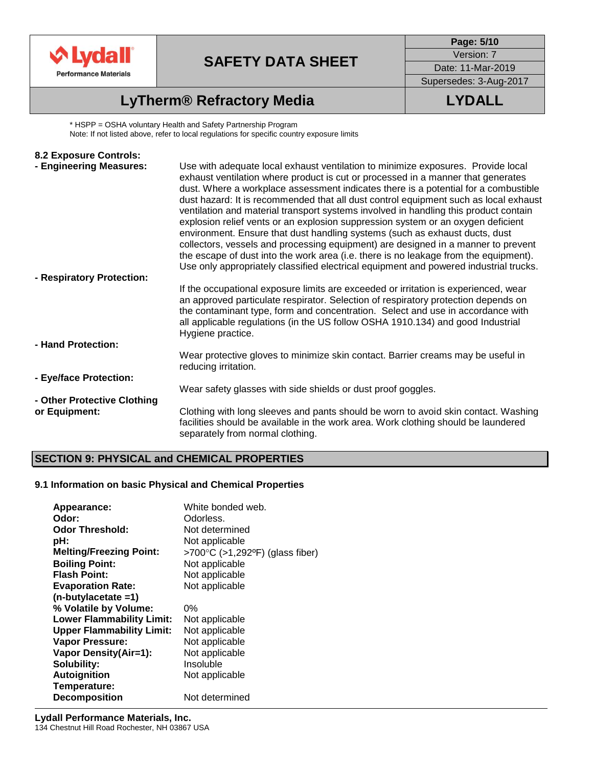

**Page: 5/10** Version: 7

Date: 11-Mar-2019 Supersedes: 3-Aug-2017

# **LyTherm® Refractory Media LYDALL**

\* HSPP = OSHA voluntary Health and Safety Partnership Program Note: If not listed above, refer to local regulations for specific country exposure limits

| 8.2 Exposure Controls:                       |                                                                                                                                                                                                                                                                                                                                                                                                                                                                                                                                                                                                                                                                                                                                                                                                                                                                                      |
|----------------------------------------------|--------------------------------------------------------------------------------------------------------------------------------------------------------------------------------------------------------------------------------------------------------------------------------------------------------------------------------------------------------------------------------------------------------------------------------------------------------------------------------------------------------------------------------------------------------------------------------------------------------------------------------------------------------------------------------------------------------------------------------------------------------------------------------------------------------------------------------------------------------------------------------------|
| - Engineering Measures:                      | Use with adequate local exhaust ventilation to minimize exposures. Provide local<br>exhaust ventilation where product is cut or processed in a manner that generates<br>dust. Where a workplace assessment indicates there is a potential for a combustible<br>dust hazard: It is recommended that all dust control equipment such as local exhaust<br>ventilation and material transport systems involved in handling this product contain<br>explosion relief vents or an explosion suppression system or an oxygen deficient<br>environment. Ensure that dust handling systems (such as exhaust ducts, dust<br>collectors, vessels and processing equipment) are designed in a manner to prevent<br>the escape of dust into the work area (i.e. there is no leakage from the equipment).<br>Use only appropriately classified electrical equipment and powered industrial trucks. |
| - Respiratory Protection:                    |                                                                                                                                                                                                                                                                                                                                                                                                                                                                                                                                                                                                                                                                                                                                                                                                                                                                                      |
|                                              | If the occupational exposure limits are exceeded or irritation is experienced, wear<br>an approved particulate respirator. Selection of respiratory protection depends on<br>the contaminant type, form and concentration. Select and use in accordance with<br>all applicable regulations (in the US follow OSHA 1910.134) and good Industrial<br>Hygiene practice.                                                                                                                                                                                                                                                                                                                                                                                                                                                                                                                 |
| - Hand Protection:                           |                                                                                                                                                                                                                                                                                                                                                                                                                                                                                                                                                                                                                                                                                                                                                                                                                                                                                      |
|                                              | Wear protective gloves to minimize skin contact. Barrier creams may be useful in<br>reducing irritation.                                                                                                                                                                                                                                                                                                                                                                                                                                                                                                                                                                                                                                                                                                                                                                             |
| - Eye/face Protection:                       |                                                                                                                                                                                                                                                                                                                                                                                                                                                                                                                                                                                                                                                                                                                                                                                                                                                                                      |
|                                              | Wear safety glasses with side shields or dust proof goggles.                                                                                                                                                                                                                                                                                                                                                                                                                                                                                                                                                                                                                                                                                                                                                                                                                         |
| - Other Protective Clothing<br>or Equipment: | Clothing with long sleeves and pants should be worn to avoid skin contact. Washing<br>facilities should be available in the work area. Work clothing should be laundered<br>separately from normal clothing.                                                                                                                                                                                                                                                                                                                                                                                                                                                                                                                                                                                                                                                                         |

### **SECTION 9: PHYSICAL and CHEMICAL PROPERTIES**

### **9.1 Information on basic Physical and Chemical Properties**

| White bonded web.               |
|---------------------------------|
| Odorless.                       |
| Not determined                  |
| Not applicable                  |
| >700°C (>1,292°F) (glass fiber) |
| Not applicable                  |
| Not applicable                  |
| Not applicable                  |
|                                 |
| 0%                              |
| Not applicable                  |
| Not applicable                  |
| Not applicable                  |
| Not applicable                  |
| Insoluble                       |
| Not applicable                  |
|                                 |
| Not determined                  |
|                                 |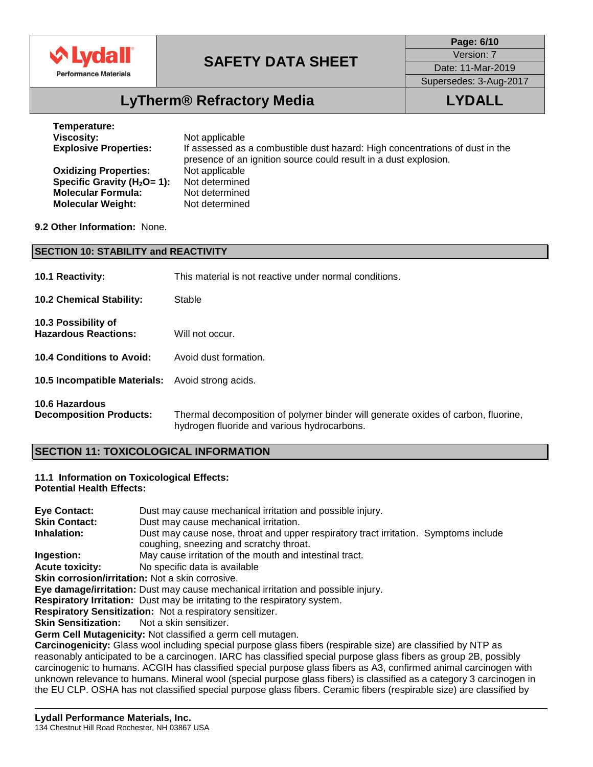

**Page: 6/10** Version: 7

Date: 11-Mar-2019

Supersedes: 3-Aug-2017

# **LyTherm® Refractory Media LYDALL**

| Temperature:                     |                                                                                                                                                  |
|----------------------------------|--------------------------------------------------------------------------------------------------------------------------------------------------|
| Viscosity:                       | Not applicable                                                                                                                                   |
| <b>Explosive Properties:</b>     | If assessed as a combustible dust hazard: High concentrations of dust in the<br>presence of an ignition source could result in a dust explosion. |
| <b>Oxidizing Properties:</b>     | Not applicable                                                                                                                                   |
| Specific Gravity ( $H_2O = 1$ ): | Not determined                                                                                                                                   |
| <b>Molecular Formula:</b>        | Not determined                                                                                                                                   |
| <b>Molecular Weight:</b>         | Not determined                                                                                                                                   |

#### **9.2 Other Information:** None.

| <b>SECTION 10: STABILITY and REACTIVITY</b>        |                                                                                                                                  |  |  |  |  |
|----------------------------------------------------|----------------------------------------------------------------------------------------------------------------------------------|--|--|--|--|
| <b>10.1 Reactivity:</b>                            | This material is not reactive under normal conditions.                                                                           |  |  |  |  |
| <b>10.2 Chemical Stability:</b>                    | Stable                                                                                                                           |  |  |  |  |
| 10.3 Possibility of<br><b>Hazardous Reactions:</b> | Will not occur.                                                                                                                  |  |  |  |  |
| 10.4 Conditions to Avoid:                          | Avoid dust formation.                                                                                                            |  |  |  |  |
| 10.5 Incompatible Materials:                       | Avoid strong acids.                                                                                                              |  |  |  |  |
| 10.6 Hazardous<br><b>Decomposition Products:</b>   | Thermal decomposition of polymer binder will generate oxides of carbon, fluorine,<br>hydrogen fluoride and various hydrocarbons. |  |  |  |  |

### **SECTION 11: TOXICOLOGICAL INFORMATION**

#### **11.1 Information on Toxicological Effects: Potential Health Effects:**

| Eye Contact:                                                                                                         | Dust may cause mechanical irritation and possible injury.                                                            |  |  |  |  |
|----------------------------------------------------------------------------------------------------------------------|----------------------------------------------------------------------------------------------------------------------|--|--|--|--|
| <b>Skin Contact:</b>                                                                                                 | Dust may cause mechanical irritation.                                                                                |  |  |  |  |
| Inhalation:                                                                                                          | Dust may cause nose, throat and upper respiratory tract irritation. Symptoms include                                 |  |  |  |  |
|                                                                                                                      | coughing, sneezing and scratchy throat.                                                                              |  |  |  |  |
| Ingestion:                                                                                                           | May cause irritation of the mouth and intestinal tract.                                                              |  |  |  |  |
| <b>Acute toxicity:</b>                                                                                               | No specific data is available                                                                                        |  |  |  |  |
| Skin corrosion/irritation: Not a skin corrosive.                                                                     |                                                                                                                      |  |  |  |  |
|                                                                                                                      | Eye damage/irritation: Dust may cause mechanical irritation and possible injury.                                     |  |  |  |  |
|                                                                                                                      | Respiratory Irritation: Dust may be irritating to the respiratory system.                                            |  |  |  |  |
| Respiratory Sensitization: Not a respiratory sensitizer.                                                             |                                                                                                                      |  |  |  |  |
| <b>Skin Sensitization:</b>                                                                                           | Not a skin sensitizer.                                                                                               |  |  |  |  |
| Germ Cell Mutagenicity: Not classified a germ cell mutagen.                                                          |                                                                                                                      |  |  |  |  |
|                                                                                                                      | Carcinogenicity: Glass wool including special purpose glass fibers (respirable size) are classified by NTP as        |  |  |  |  |
|                                                                                                                      | reasonably anticipated to be a carcinogen. IARC has classified special purpose glass fibers as group 2B, possibly    |  |  |  |  |
|                                                                                                                      | carcinogenic to humans. ACGIH has classified special purpose glass fibers as A3, confirmed animal carcinogen with    |  |  |  |  |
|                                                                                                                      | unknown relevance to humans. Mineral wool (special purpose glass fibers) is classified as a category 3 carcinogen in |  |  |  |  |
| the EU CLP. OSHA has not classified special purpose glass fibers. Ceramic fibers (respirable size) are classified by |                                                                                                                      |  |  |  |  |
|                                                                                                                      |                                                                                                                      |  |  |  |  |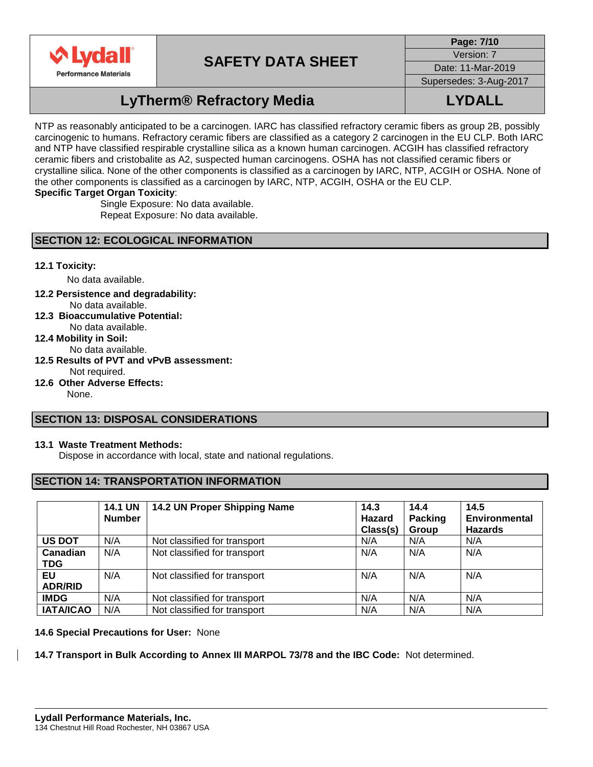

**Page: 7/10** Version: 7

Date: 11-Mar-2019

Supersedes: 3-Aug-2017

# **LyTherm® Refractory Media LYDALL**

NTP as reasonably anticipated to be a carcinogen. IARC has classified refractory ceramic fibers as group 2B, possibly carcinogenic to humans. Refractory ceramic fibers are classified as a category 2 carcinogen in the EU CLP. Both IARC and NTP have classified respirable crystalline silica as a known human carcinogen. ACGIH has classified refractory ceramic fibers and cristobalite as A2, suspected human carcinogens. OSHA has not classified ceramic fibers or crystalline silica. None of the other components is classified as a carcinogen by IARC, NTP, ACGIH or OSHA. None of the other components is classified as a carcinogen by IARC, NTP, ACGIH, OSHA or the EU CLP. **Specific Target Organ Toxicity**:

> Single Exposure: No data available. Repeat Exposure: No data available.

### **SECTION 12: ECOLOGICAL INFORMATION**

### **12.1 Toxicity:**

No data available.

- **12.2 Persistence and degradability:** No data available.
- **12.3 Bioaccumulative Potential:**  No data available.
- **12.4 Mobility in Soil:** 
	- No data available.
- **12.5 Results of PVT and vPvB assessment:**  Not required.
- **12.6 Other Adverse Effects:**

None.

### **SECTION 13: DISPOSAL CONSIDERATIONS**

#### **13.1 Waste Treatment Methods:**

Dispose in accordance with local, state and national regulations.

### **SECTION 14: TRANSPORTATION INFORMATION**

|                        | <b>14.1 UN</b><br><b>Number</b> | 14.2 UN Proper Shipping Name | 14.3<br>Hazard<br>Class(s) | 14.4<br><b>Packing</b><br>Group | 14.5<br><b>Environmental</b><br><b>Hazards</b> |
|------------------------|---------------------------------|------------------------------|----------------------------|---------------------------------|------------------------------------------------|
| <b>US DOT</b>          | N/A                             | Not classified for transport | N/A                        | N/A                             | N/A                                            |
| Canadian<br><b>TDG</b> | N/A                             | Not classified for transport | N/A                        | N/A                             | N/A                                            |
| EU<br><b>ADR/RID</b>   | N/A                             | Not classified for transport | N/A                        | N/A                             | N/A                                            |
| <b>IMDG</b>            | N/A                             | Not classified for transport | N/A                        | N/A                             | N/A                                            |
| <b>IATA/ICAO</b>       | N/A                             | Not classified for transport | N/A                        | N/A                             | N/A                                            |

#### **14.6 Special Precautions for User:** None

#### **14.7 Transport in Bulk According to Annex III MARPOL 73/78 and the IBC Code:** Not determined.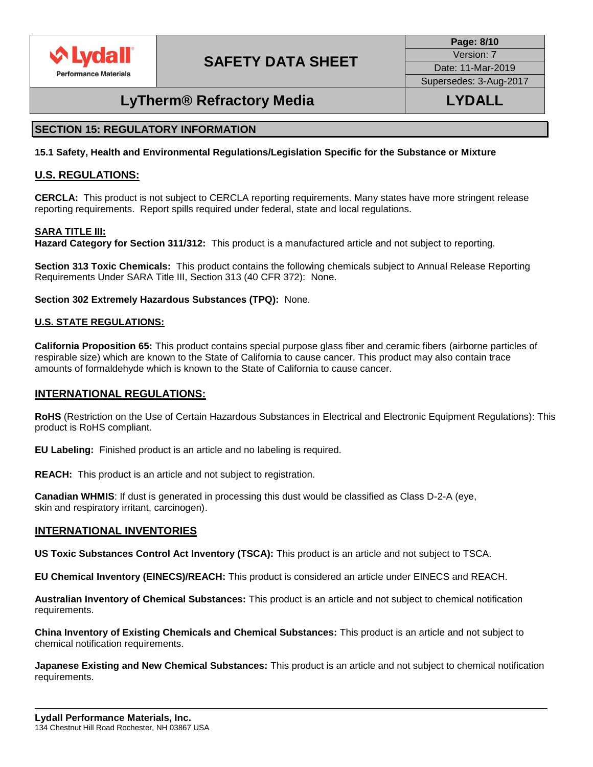

**Page: 8/10** Version: 7

Date: 11-Mar-2019 Supersedes: 3-Aug-2017

## **LyTherm® Refractory Media LYDALL**

### **SECTION 15: REGULATORY INFORMATION**

**15.1 Safety, Health and Environmental Regulations/Legislation Specific for the Substance or Mixture**

### **U.S. REGULATIONS:**

**CERCLA:** This product is not subject to CERCLA reporting requirements. Many states have more stringent release reporting requirements. Report spills required under federal, state and local regulations.

#### **SARA TITLE III:**

**Hazard Category for Section 311/312:** This product is a manufactured article and not subject to reporting.

**Section 313 Toxic Chemicals:** This product contains the following chemicals subject to Annual Release Reporting Requirements Under SARA Title III, Section 313 (40 CFR 372): None.

**Section 302 Extremely Hazardous Substances (TPQ):** None.

#### **U.S. STATE REGULATIONS:**

**California Proposition 65:** This product contains special purpose glass fiber and ceramic fibers (airborne particles of respirable size) which are known to the State of California to cause cancer. This product may also contain trace amounts of formaldehyde which is known to the State of California to cause cancer.

### **INTERNATIONAL REGULATIONS:**

**RoHS** (Restriction on the Use of Certain Hazardous Substances in Electrical and Electronic Equipment Regulations): This product is RoHS compliant.

**EU Labeling:** Finished product is an article and no labeling is required.

**REACH:** This product is an article and not subject to registration.

**Canadian WHMIS:** If dust is generated in processing this dust would be classified as Class D-2-A (eye, skin and respiratory irritant, carcinogen).

#### **INTERNATIONAL INVENTORIES**

**US Toxic Substances Control Act Inventory (TSCA):** This product is an article and not subject to TSCA.

**EU Chemical Inventory (EINECS)/REACH:** This product is considered an article under EINECS and REACH.

**Australian Inventory of Chemical Substances:** This product is an article and not subject to chemical notification requirements.

**China Inventory of Existing Chemicals and Chemical Substances:** This product is an article and not subject to chemical notification requirements.

**Japanese Existing and New Chemical Substances:** This product is an article and not subject to chemical notification requirements.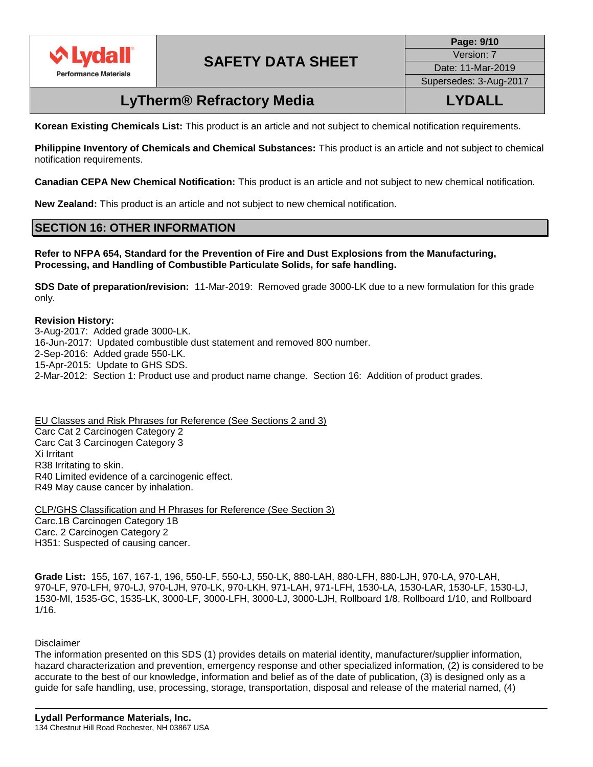

**Page: 9/10** Version: 7 Date: 11-Mar-2019 Supersedes: 3-Aug-2017

### **LyTherm® Refractory Media LYDALL**

**Korean Existing Chemicals List:** This product is an article and not subject to chemical notification requirements.

**Philippine Inventory of Chemicals and Chemical Substances:** This product is an article and not subject to chemical notification requirements.

**Canadian CEPA New Chemical Notification:** This product is an article and not subject to new chemical notification.

**New Zealand:** This product is an article and not subject to new chemical notification.

### **SECTION 16: OTHER INFORMATION**

**Refer to NFPA 654, Standard for the Prevention of Fire and Dust Explosions from the Manufacturing, Processing, and Handling of Combustible Particulate Solids, for safe handling.**

**SDS Date of preparation/revision:** 11-Mar-2019: Removed grade 3000-LK due to a new formulation for this grade only.

**Revision History:** 3-Aug-2017: Added grade 3000-LK. 16-Jun-2017: Updated combustible dust statement and removed 800 number. 2-Sep-2016: Added grade 550-LK. 15-Apr-2015: Update to GHS SDS. 2-Mar-2012: Section 1: Product use and product name change. Section 16: Addition of product grades.

EU Classes and Risk Phrases for Reference (See Sections 2 and 3) Carc Cat 2 Carcinogen Category 2 Carc Cat 3 Carcinogen Category 3 Xi Irritant R38 Irritating to skin. R40 Limited evidence of a carcinogenic effect. R49 May cause cancer by inhalation.

CLP/GHS Classification and H Phrases for Reference (See Section 3) Carc.1B Carcinogen Category 1B Carc. 2 Carcinogen Category 2 H351: Suspected of causing cancer.

**Grade List:** 155, 167, 167-1, 196, 550-LF, 550-LJ, 550-LK, 880-LAH, 880-LFH, 880-LJH, 970-LA, 970-LAH, 970-LF, 970-LFH, 970-LJ, 970-LJH, 970-LK, 970-LKH, 971-LAH, 971-LFH, 1530-LA, 1530-LAR, 1530-LF, 1530-LJ, 1530-MI, 1535-GC, 1535-LK, 3000-LF, 3000-LFH, 3000-LJ, 3000-LJH, Rollboard 1/8, Rollboard 1/10, and Rollboard 1/16.

#### Disclaimer

The information presented on this SDS (1) provides details on material identity, manufacturer/supplier information, hazard characterization and prevention, emergency response and other specialized information, (2) is considered to be accurate to the best of our knowledge, information and belief as of the date of publication, (3) is designed only as a guide for safe handling, use, processing, storage, transportation, disposal and release of the material named, (4)